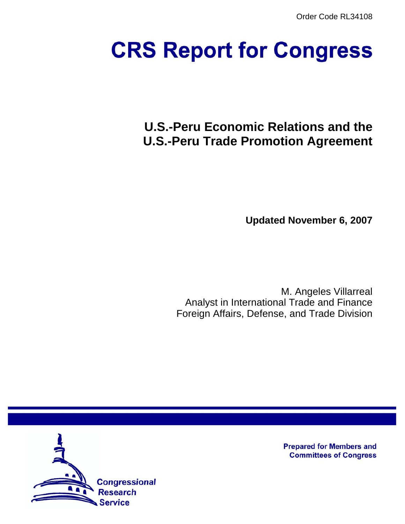# **CRS Report for Congress**

# **U.S.-Peru Economic Relations and the U.S.-Peru Trade Promotion Agreement**

**Updated November 6, 2007**

M. Angeles Villarreal Analyst in International Trade and Finance Foreign Affairs, Defense, and Trade Division



**Prepared for Members and Committees of Congress**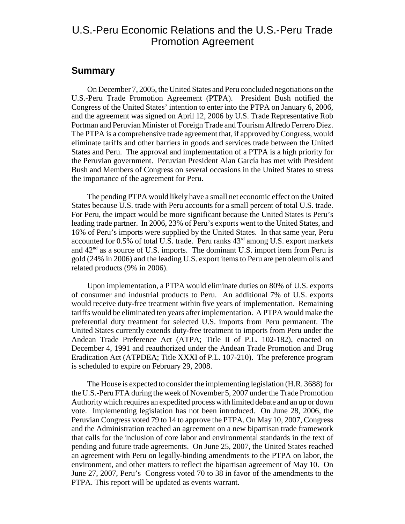# U.S.-Peru Economic Relations and the U.S.-Peru Trade Promotion Agreement

#### **Summary**

On December 7, 2005, the United States and Peru concluded negotiations on the U.S.-Peru Trade Promotion Agreement (PTPA). President Bush notified the Congress of the United States' intention to enter into the PTPA on January 6, 2006, and the agreement was signed on April 12, 2006 by U.S. Trade Representative Rob Portman and Peruvian Minister of Foreign Trade and Tourism Alfredo Ferrero Diez. The PTPA is a comprehensive trade agreement that, if approved by Congress, would eliminate tariffs and other barriers in goods and services trade between the United States and Peru. The approval and implementation of a PTPA is a high priority for the Peruvian government. Peruvian President Alan García has met with President Bush and Members of Congress on several occasions in the United States to stress the importance of the agreement for Peru.

The pending PTPA would likely have a small net economic effect on the United States because U.S. trade with Peru accounts for a small percent of total U.S. trade. For Peru, the impact would be more significant because the United States is Peru's leading trade partner. In 2006, 23% of Peru's exports went to the United States, and 16% of Peru's imports were supplied by the United States. In that same year, Peru accounted for  $0.5\%$  of total U.S. trade. Peru ranks  $43<sup>rd</sup>$  among U.S. export markets and 42nd as a source of U.S. imports. The dominant U.S. import item from Peru is gold (24% in 2006) and the leading U.S. export items to Peru are petroleum oils and related products (9% in 2006).

Upon implementation, a PTPA would eliminate duties on 80% of U.S. exports of consumer and industrial products to Peru. An additional 7% of U.S. exports would receive duty-free treatment within five years of implementation. Remaining tariffs would be eliminated ten years after implementation. A PTPA would make the preferential duty treatment for selected U.S. imports from Peru permanent. The United States currently extends duty-free treatment to imports from Peru under the Andean Trade Preference Act (ATPA; Title II of P.L. 102-182), enacted on December 4, 1991 and reauthorized under the Andean Trade Promotion and Drug Eradication Act (ATPDEA; Title XXXI of P.L. 107-210). The preference program is scheduled to expire on February 29, 2008.

The House is expected to consider the implementing legislation (H.R. 3688) for the U.S.-Peru FTA during the week of November 5, 2007 under the Trade Promotion Authority which requires an expedited process with limited debate and an up or down vote. Implementing legislation has not been introduced. On June 28, 2006, the Peruvian Congress voted 79 to 14 to approve the PTPA. On May 10, 2007, Congress and the Administration reached an agreement on a new bipartisan trade framework that calls for the inclusion of core labor and environmental standards in the text of pending and future trade agreements. On June 25, 2007, the United States reached an agreement with Peru on legally-binding amendments to the PTPA on labor, the environment, and other matters to reflect the bipartisan agreement of May 10. On June 27, 2007, Peru's Congress voted 70 to 38 in favor of the amendments to the PTPA. This report will be updated as events warrant.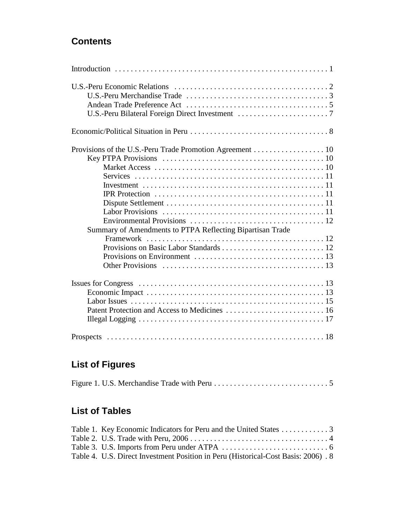# **Contents**

| Provisions of the U.S.-Peru Trade Promotion Agreement 10<br>Summary of Amendments to PTPA Reflecting Bipartisan Trade |
|-----------------------------------------------------------------------------------------------------------------------|
|                                                                                                                       |
| Patent Protection and Access to Medicines  16                                                                         |
|                                                                                                                       |

# **List of Figures**

|--|

# **List of Tables**

| Table 1. Key Economic Indicators for Peru and the United States 3                 |  |
|-----------------------------------------------------------------------------------|--|
|                                                                                   |  |
|                                                                                   |  |
| Table 4. U.S. Direct Investment Position in Peru (Historical-Cost Basis: 2006). 8 |  |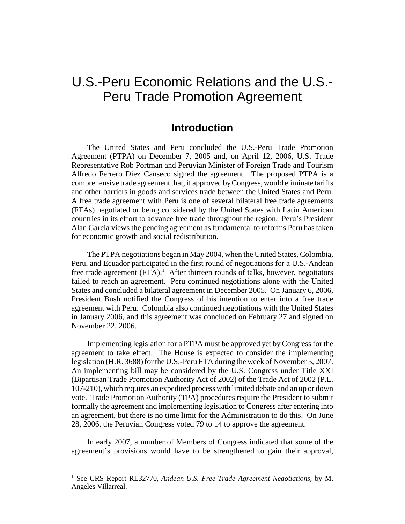# U.S.-Peru Economic Relations and the U.S.- Peru Trade Promotion Agreement

# **Introduction**

The United States and Peru concluded the U.S.-Peru Trade Promotion Agreement (PTPA) on December 7, 2005 and, on April 12, 2006, U.S. Trade Representative Rob Portman and Peruvian Minister of Foreign Trade and Tourism Alfredo Ferrero Diez Canseco signed the agreement. The proposed PTPA is a comprehensive trade agreement that, if approved by Congress, would eliminate tariffs and other barriers in goods and services trade between the United States and Peru. A free trade agreement with Peru is one of several bilateral free trade agreements (FTAs) negotiated or being considered by the United States with Latin American countries in its effort to advance free trade throughout the region. Peru's President Alan García views the pending agreement as fundamental to reforms Peru has taken for economic growth and social redistribution.

The PTPA negotiations began in May 2004, when the United States, Colombia, Peru, and Ecuador participated in the first round of negotiations for a U.S.-Andean free trade agreement  $(FTA)$ .<sup>1</sup> After thirteen rounds of talks, however, negotiators failed to reach an agreement. Peru continued negotiations alone with the United States and concluded a bilateral agreement in December 2005. On January 6, 2006, President Bush notified the Congress of his intention to enter into a free trade agreement with Peru. Colombia also continued negotiations with the United States in January 2006, and this agreement was concluded on February 27 and signed on November 22, 2006.

Implementing legislation for a PTPA must be approved yet by Congress for the agreement to take effect. The House is expected to consider the implementing legislation (H.R. 3688) for the U.S.-Peru FTA during the week of November 5, 2007. An implementing bill may be considered by the U.S. Congress under Title XXI (Bipartisan Trade Promotion Authority Act of 2002) of the Trade Act of 2002 (P.L. 107-210), which requires an expedited process with limited debate and an up or down vote. Trade Promotion Authority (TPA) procedures require the President to submit formally the agreement and implementing legislation to Congress after entering into an agreement, but there is no time limit for the Administration to do this. On June 28, 2006, the Peruvian Congress voted 79 to 14 to approve the agreement.

In early 2007, a number of Members of Congress indicated that some of the agreement's provisions would have to be strengthened to gain their approval,

<sup>&</sup>lt;sup>1</sup> See CRS Report RL32770, Andean-U.S. Free-Trade Agreement Negotiations, by M. Angeles Villarreal.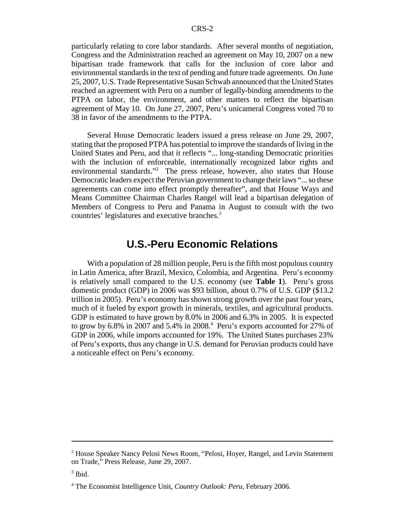particularly relating to core labor standards. After several months of negotiation, Congress and the Administration reached an agreement on May 10, 2007 on a new bipartisan trade framework that calls for the inclusion of core labor and environmental standards in the text of pending and future trade agreements. On June 25, 2007, U.S. Trade Representative Susan Schwab announced that the United States reached an agreement with Peru on a number of legally-binding amendments to the PTPA on labor, the environment, and other matters to reflect the bipartisan agreement of May 10. On June 27, 2007, Peru's unicameral Congress voted 70 to 38 in favor of the amendments to the PTPA.

Several House Democratic leaders issued a press release on June 29, 2007, stating that the proposed PTPA has potential to improve the standards of living in the United States and Peru, and that it reflects "... long-standing Democratic priorities with the inclusion of enforceable, internationally recognized labor rights and environmental standards."<sup>2</sup> The press release, however, also states that House Democratic leaders expect the Peruvian government to change their laws "... so these agreements can come into effect promptly thereafter", and that House Ways and Means Committee Chairman Charles Rangel will lead a bipartisan delegation of Members of Congress to Peru and Panama in August to consult with the two countries' legislatures and executive branches.<sup>3</sup>

## **U.S.-Peru Economic Relations**

With a population of 28 million people, Peru is the fifth most populous country in Latin America, after Brazil, Mexico, Colombia, and Argentina. Peru's economy is relatively small compared to the U.S. economy (see **Table 1**). Peru's gross domestic product (GDP) in 2006 was \$93 billion, about 0.7% of U.S. GDP (\$13.2 trillion in 2005). Peru's economy has shown strong growth over the past four years, much of it fueled by export growth in minerals, textiles, and agricultural products. GDP is estimated to have grown by 8.0% in 2006 and 6.3% in 2005. It is expected to grow by 6.8% in 2007 and 5.4% in 2008.<sup>4</sup> Peru's exports accounted for 27% of GDP in 2006, while imports accounted for 19%. The United States purchases 23% of Peru's exports, thus any change in U.S. demand for Peruvian products could have a noticeable effect on Peru's economy.

<sup>&</sup>lt;sup>2</sup> House Speaker Nancy Pelosi News Room, "Pelosi, Hoyer, Rangel, and Levin Statement on Trade," Press Release, June 29, 2007.

 $3$  Ibid.

<sup>4</sup> The Economist Intelligence Unit, *Country Outlook: Peru,* February 2006.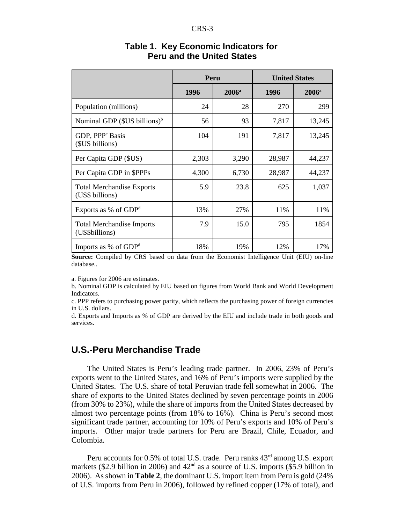#### CRS-3

|                                                     | Peru  |          | <b>United States</b> |          |  |
|-----------------------------------------------------|-------|----------|----------------------|----------|--|
|                                                     | 1996  | $2006^a$ | 1996                 | $2006^a$ |  |
| Population (millions)                               | 24    | 28       | 270                  | 299      |  |
| Nominal GDP (\$US billions) <sup>b</sup>            | 56    | 93       | 7,817                | 13,245   |  |
| GDP, PPP <sup>c</sup> Basis<br>(\$US billions)      | 104   | 191      | 7,817                | 13,245   |  |
| Per Capita GDP (\$US)                               | 2,303 | 3,290    | 28,987               | 44,237   |  |
| Per Capita GDP in \$PPPs                            | 4,300 | 6,730    | 28,987               | 44,237   |  |
| <b>Total Merchandise Exports</b><br>(US\$ billions) | 5.9   | 23.8     | 625                  | 1,037    |  |
| Exports as % of $GDPd$                              | 13%   | 27%      | 11%                  | 11%      |  |
| <b>Total Merchandise Imports</b><br>(US\$billions)  | 7.9   | 15.0     | 795                  | 1854     |  |
| Imports as % of $GDPd$                              | 18%   | 19%      | 12%                  | 17%      |  |

#### **Table 1. Key Economic Indicators for Peru and the United States**

**Source:** Compiled by CRS based on data from the Economist Intelligence Unit (EIU) on-line database..

a. Figures for 2006 are estimates.

b. Nominal GDP is calculated by EIU based on figures from World Bank and World Development Indicators.

c. PPP refers to purchasing power parity, which reflects the purchasing power of foreign currencies in U.S. dollars.

d. Exports and Imports as % of GDP are derived by the EIU and include trade in both goods and services.

#### **U.S.-Peru Merchandise Trade**

The United States is Peru's leading trade partner. In 2006, 23% of Peru's exports went to the United States, and 16% of Peru's imports were supplied by the United States. The U.S. share of total Peruvian trade fell somewhat in 2006. The share of exports to the United States declined by seven percentage points in 2006 (from 30% to 23%), while the share of imports from the United States decreased by almost two percentage points (from 18% to 16%). China is Peru's second most significant trade partner, accounting for 10% of Peru's exports and 10% of Peru's imports. Other major trade partners for Peru are Brazil, Chile, Ecuador, and Colombia.

Peru accounts for 0.5% of total U.S. trade. Peru ranks  $43<sup>rd</sup>$  among U.S. export markets (\$2.9 billion in 2006) and  $42<sup>nd</sup>$  as a source of U.S. imports (\$5.9 billion in 2006). As shown in **Table 2**, the dominant U.S. import item from Peru is gold (24% of U.S. imports from Peru in 2006), followed by refined copper (17% of total), and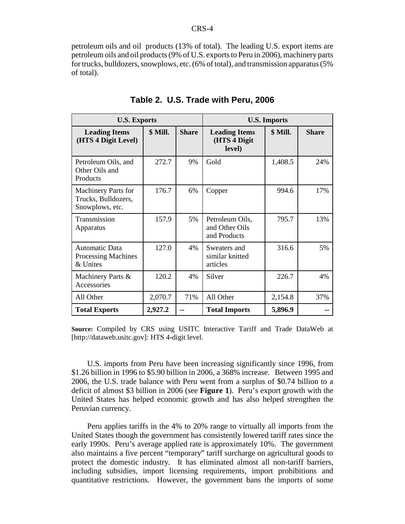petroleum oils and oil products (13% of total). The leading U.S. export items are petroleum oils and oil products (9% of U.S. exports to Peru in 2006), machinery parts for trucks, bulldozers, snowplows, etc. (6% of total), and transmission apparatus (5% of total).

| <b>U.S. Exports</b>                                                  |          |              | <b>U.S. Imports</b>                               |          |              |
|----------------------------------------------------------------------|----------|--------------|---------------------------------------------------|----------|--------------|
| <b>Leading Items</b><br>(HTS 4 Digit Level)                          | \$ Mill. | <b>Share</b> | <b>Leading Items</b><br>(HTS 4 Digit<br>level)    | \$ Mill. | <b>Share</b> |
| Petroleum Oils, and<br>Other Oils and<br>Products                    | 272.7    | 9%           | Gold                                              | 1,408.5  | 24%          |
| <b>Machinery Parts for</b><br>Trucks, Bulldozers,<br>Snowplows, etc. | 176.7    | 6%           | Copper                                            | 994.6    | 17%          |
| Transmission<br>Apparatus                                            | 157.9    | 5%           | Petroleum Oils,<br>and Other Oils<br>and Products | 795.7    | 13%          |
| Automatic Data<br>Processing Machines<br>& Unites                    | 127.0    | 4%           | Sweaters and<br>similar knitted<br>articles       | 316.6    | 5%           |
| Machinery Parts &<br>Accessories                                     | 120.2    | 4%           | Silver                                            | 226.7    | 4%           |
| All Other                                                            | 2,070.7  | 71%          | All Other                                         | 2,154.8  | 37%          |
| <b>Total Exports</b>                                                 | 2,927.2  |              | <b>Total Imports</b>                              | 5,896.9  |              |

**Table 2. U.S. Trade with Peru, 2006**

**Source:** Compiled by CRS using USITC Interactive Tariff and Trade DataWeb at [http://dataweb.usitc.gov]: HTS 4-digit level.

U.S. imports from Peru have been increasing significantly since 1996, from \$1.26 billion in 1996 to \$5.90 billion in 2006, a 368% increase. Between 1995 and 2006, the U.S. trade balance with Peru went from a surplus of \$0.74 billion to a deficit of almost \$3 billion in 2006 (see **Figure 1**). Peru's export growth with the United States has helped economic growth and has also helped strengthen the Peruvian currency.

Peru applies tariffs in the 4% to 20% range to virtually all imports from the United States though the government has consistently lowered tariff rates since the early 1990s. Peru's average applied rate is approximately 10%. The government also maintains a five percent "temporary" tariff surcharge on agricultural goods to protect the domestic industry. It has eliminated almost all non-tariff barriers, including subsidies, import licensing requirements, import prohibitions and quantitative restrictions. However, the government bans the imports of some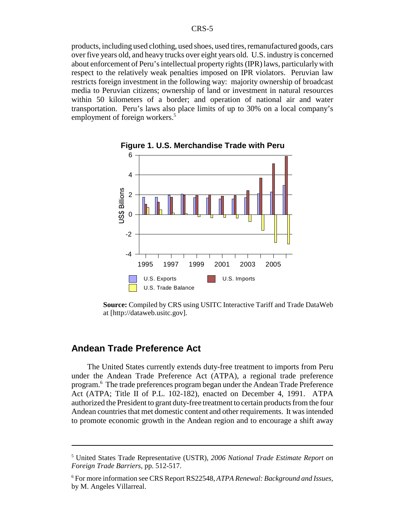products, including used clothing, used shoes, used tires, remanufactured goods, cars over five years old, and heavy trucks over eight years old. U.S. industry is concerned about enforcement of Peru's intellectual property rights (IPR) laws, particularly with respect to the relatively weak penalties imposed on IPR violators. Peruvian law restricts foreign investment in the following way: majority ownership of broadcast media to Peruvian citizens; ownership of land or investment in natural resources within 50 kilometers of a border; and operation of national air and water transportation. Peru's laws also place limits of up to 30% on a local company's employment of foreign workers.<sup>5</sup>



**Figure 1. U.S. Merchandise Trade with Peru**

**Source:** Compiled by CRS using USITC Interactive Tariff and Trade DataWeb at [http://dataweb.usitc.gov].

#### **Andean Trade Preference Act**

The United States currently extends duty-free treatment to imports from Peru under the Andean Trade Preference Act (ATPA), a regional trade preference program.<sup>6</sup> The trade preferences program began under the Andean Trade Preference Act (ATPA; Title II of P.L. 102-182), enacted on December 4, 1991. ATPA authorized the President to grant duty-free treatment to certain products from the four Andean countries that met domestic content and other requirements. It was intended to promote economic growth in the Andean region and to encourage a shift away

<sup>5</sup> United States Trade Representative (USTR), *2006 National Trade Estimate Report on Foreign Trade Barriers,* pp. 512-517.

<sup>6</sup> For more information see CRS Report RS22548, *ATPA Renewal: Background and Issues,* by M. Angeles Villarreal.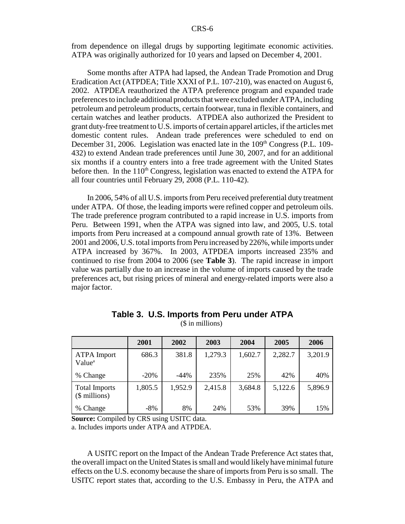from dependence on illegal drugs by supporting legitimate economic activities. ATPA was originally authorized for 10 years and lapsed on December 4, 2001.

Some months after ATPA had lapsed, the Andean Trade Promotion and Drug Eradication Act (ATPDEA; Title XXXI of P.L. 107-210), was enacted on August 6, 2002. ATPDEA reauthorized the ATPA preference program and expanded trade preferences to include additional products that were excluded under ATPA, including petroleum and petroleum products, certain footwear, tuna in flexible containers, and certain watches and leather products. ATPDEA also authorized the President to grant duty-free treatment to U.S. imports of certain apparel articles, if the articles met domestic content rules. Andean trade preferences were scheduled to end on December 31, 2006. Legislation was enacted late in the  $109<sup>th</sup>$  Congress (P.L. 109-432) to extend Andean trade preferences until June 30, 2007, and for an additional six months if a country enters into a free trade agreement with the United States before then. In the  $110<sup>th</sup>$  Congress, legislation was enacted to extend the ATPA for all four countries until February 29, 2008 (P.L. 110-42).

In 2006, 54% of all U.S. imports from Peru received preferential duty treatment under ATPA. Of those, the leading imports were refined copper and petroleum oils. The trade preference program contributed to a rapid increase in U.S. imports from Peru. Between 1991, when the ATPA was signed into law, and 2005, U.S. total imports from Peru increased at a compound annual growth rate of 13%. Between 2001 and 2006, U.S. total imports from Peru increased by 226%, while imports under ATPA increased by 367%. In 2003, ATPDEA imports increased 235% and continued to rise from 2004 to 2006 (see **Table 3**). The rapid increase in import value was partially due to an increase in the volume of imports caused by the trade preferences act, but rising prices of mineral and energy-related imports were also a major factor.

|                                          | 2001    | 2002    | 2003    | 2004    | 2005    | 2006    |
|------------------------------------------|---------|---------|---------|---------|---------|---------|
| <b>ATPA</b> Import<br>Value <sup>a</sup> | 686.3   | 381.8   | 1,279.3 | 1,602.7 | 2,282.7 | 3,201.9 |
| % Change                                 | $-20%$  | $-44%$  | 235%    | 25%     | 42%     | 40%     |
| <b>Total Imports</b><br>$($$ millions)   | 1,805.5 | 1,952.9 | 2,415.8 | 3,684.8 | 5,122.6 | 5,896.9 |
| % Change                                 | $-8\%$  | 8%      | 24%     | 53%     | 39%     | 15%     |

**Table 3. U.S. Imports from Peru under ATPA** (\$ in millions)

**Source:** Compiled by CRS using USITC data.

a. Includes imports under ATPA and ATPDEA.

A USITC report on the Impact of the Andean Trade Preference Act states that, the overall impact on the United States is small and would likely have minimal future effects on the U.S. economy because the share of imports from Peru is so small. The USITC report states that, according to the U.S. Embassy in Peru, the ATPA and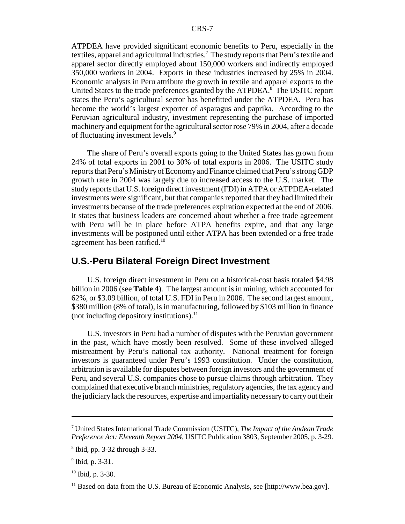ATPDEA have provided significant economic benefits to Peru, especially in the textiles, apparel and agricultural industries.<sup>7</sup> The study reports that Peru's textile and apparel sector directly employed about 150,000 workers and indirectly employed 350,000 workers in 2004. Exports in these industries increased by 25% in 2004. Economic analysts in Peru attribute the growth in textile and apparel exports to the United States to the trade preferences granted by the ATPDEA.<sup>8</sup> The USITC report states the Peru's agricultural sector has benefitted under the ATPDEA. Peru has become the world's largest exporter of asparagus and paprika. According to the Peruvian agricultural industry, investment representing the purchase of imported machinery and equipment for the agricultural sector rose 79% in 2004, after a decade of fluctuating investment levels.<sup>9</sup>

The share of Peru's overall exports going to the United States has grown from 24% of total exports in 2001 to 30% of total exports in 2006. The USITC study reports that Peru's Ministry of Economy and Finance claimed that Peru's strong GDP growth rate in 2004 was largely due to increased access to the U.S. market. The study reports that U.S. foreign direct investment (FDI) in ATPA or ATPDEA-related investments were significant, but that companies reported that they had limited their investments because of the trade preferences expiration expected at the end of 2006. It states that business leaders are concerned about whether a free trade agreement with Peru will be in place before ATPA benefits expire, and that any large investments will be postponed until either ATPA has been extended or a free trade agreement has been ratified.<sup>10</sup>

### **U.S.-Peru Bilateral Foreign Direct Investment**

U.S. foreign direct investment in Peru on a historical-cost basis totaled \$4.98 billion in 2006 (see **Table 4**). The largest amount is in mining, which accounted for 62%, or \$3.09 billion, of total U.S. FDI in Peru in 2006. The second largest amount, \$380 million (8% of total), is in manufacturing, followed by \$103 million in finance (not including depository institutions). $^{11}$ 

U.S. investors in Peru had a number of disputes with the Peruvian government in the past, which have mostly been resolved. Some of these involved alleged mistreatment by Peru's national tax authority. National treatment for foreign investors is guaranteed under Peru's 1993 constitution. Under the constitution, arbitration is available for disputes between foreign investors and the government of Peru, and several U.S. companies chose to pursue claims through arbitration. They complained that executive branch ministries, regulatory agencies, the tax agency and the judiciary lack the resources, expertise and impartiality necessary to carry out their

<sup>7</sup> United States International Trade Commission (USITC), *The Impact of the Andean Trade Preference Act: Eleventh Report 2004,* USITC Publication 3803, September 2005, p. 3-29.

<sup>8</sup> Ibid, pp. 3-32 through 3-33.

<sup>&</sup>lt;sup>9</sup> Ibid, p. 3-31.

 $10$  Ibid, p. 3-30.

<sup>&</sup>lt;sup>11</sup> Based on data from the U.S. Bureau of Economic Analysis, see [http://www.bea.gov].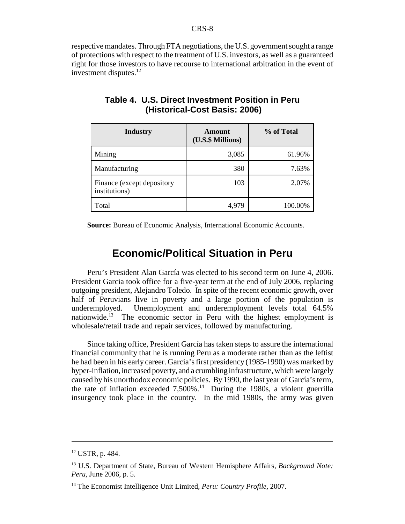respective mandates. Through FTA negotiations, the U.S. government sought a range of protections with respect to the treatment of U.S. investors, as well as a guaranteed right for those investors to have recourse to international arbitration in the event of investment disputes. $^{12}$ 

| <b>Industry</b>                             | Amount<br>(U.S.\$ Millions) | % of Total |
|---------------------------------------------|-----------------------------|------------|
| Mining                                      | 3,085                       | 61.96%     |
| Manufacturing                               | 380                         | 7.63%      |
| Finance (except depository<br>institutions) | 103                         | 2.07%      |
| Total                                       | 4,979                       | 100.00%    |

#### **Table 4. U.S. Direct Investment Position in Peru (Historical-Cost Basis: 2006)**

**Source:** Bureau of Economic Analysis, International Economic Accounts.

# **Economic/Political Situation in Peru**

Peru's President Alan García was elected to his second term on June 4, 2006. President Garcia took office for a five-year term at the end of July 2006, replacing outgoing president, Alejandro Toledo. In spite of the recent economic growth, over half of Peruvians live in poverty and a large portion of the population is underemployed. Unemployment and underemployment levels total 64.5% nationwide.<sup>13</sup> The economic sector in Peru with the highest employment is wholesale/retail trade and repair services, followed by manufacturing.

Since taking office, President García has taken steps to assure the international financial community that he is running Peru as a moderate rather than as the leftist he had been in his early career. García's first presidency (1985-1990) was marked by hyper-inflation, increased poverty, and a crumbling infrastructure, which were largely caused by his unorthodox economic policies. By 1990, the last year of García's term, the rate of inflation exceeded  $7,500\%$ .<sup>14</sup> During the 1980s, a violent guerrilla insurgency took place in the country. In the mid 1980s, the army was given

<sup>12</sup> USTR, p. 484.

<sup>13</sup> U.S. Department of State, Bureau of Western Hemisphere Affairs, *Background Note: Peru,* June 2006, p. 5.

<sup>14</sup> The Economist Intelligence Unit Limited, *Peru: Country Profile,* 2007.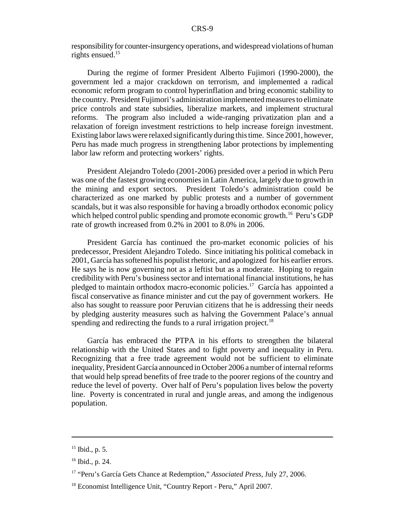responsibility for counter-insurgency operations, and widespread violations of human rights ensued. $15$ 

During the regime of former President Alberto Fujimori (1990-2000), the government led a major crackdown on terrorism, and implemented a radical economic reform program to control hyperinflation and bring economic stability to the country. President Fujimori's administration implemented measures to eliminate price controls and state subsidies, liberalize markets, and implement structural reforms. The program also included a wide-ranging privatization plan and a relaxation of foreign investment restrictions to help increase foreign investment. Existing labor laws were relaxed significantly during this time. Since 2001, however, Peru has made much progress in strengthening labor protections by implementing labor law reform and protecting workers' rights.

President Alejandro Toledo (2001-2006) presided over a period in which Peru was one of the fastest growing economies in Latin America, largely due to growth in the mining and export sectors. President Toledo's administration could be characterized as one marked by public protests and a number of government scandals, but it was also responsible for having a broadly orthodox economic policy which helped control public spending and promote economic growth.<sup>16</sup> Peru's GDP rate of growth increased from 0.2% in 2001 to 8.0% in 2006.

President García has continued the pro-market economic policies of his predecessor, President Alejandro Toledo. Since initiating his political comeback in 2001, García has softened his populist rhetoric, and apologized for his earlier errors. He says he is now governing not as a leftist but as a moderate. Hoping to regain credibility with Peru's business sector and international financial institutions, he has pledged to maintain orthodox macro-economic policies.<sup>17</sup> García has appointed a fiscal conservative as finance minister and cut the pay of government workers. He also has sought to reassure poor Peruvian citizens that he is addressing their needs by pledging austerity measures such as halving the Government Palace's annual spending and redirecting the funds to a rural irrigation project.<sup>18</sup>

García has embraced the PTPA in his efforts to strengthen the bilateral relationship with the United States and to fight poverty and inequality in Peru. Recognizing that a free trade agreement would not be sufficient to eliminate inequality, President García announced in October 2006 a number of internal reforms that would help spread benefits of free trade to the poorer regions of the country and reduce the level of poverty. Over half of Peru's population lives below the poverty line. Poverty is concentrated in rural and jungle areas, and among the indigenous population.

 $15$  Ibid., p. 5.

<sup>16</sup> Ibid., p. 24.

<sup>17 &</sup>quot;Peru's García Gets Chance at Redemption," *Associated Press*, July 27, 2006.

<sup>&</sup>lt;sup>18</sup> Economist Intelligence Unit, "Country Report - Peru," April 2007.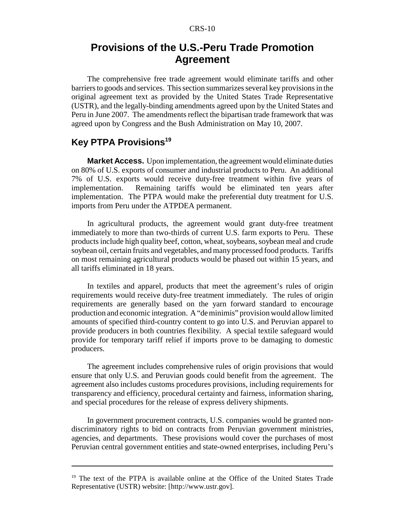#### CRS-10

# **Provisions of the U.S.-Peru Trade Promotion Agreement**

The comprehensive free trade agreement would eliminate tariffs and other barriers to goods and services. This section summarizes several key provisions in the original agreement text as provided by the United States Trade Representative (USTR), and the legally-binding amendments agreed upon by the United States and Peru in June 2007. The amendments reflect the bipartisan trade framework that was agreed upon by Congress and the Bush Administration on May 10, 2007.

## **Key PTPA Provisions<sup>19</sup>**

**Market Access.** Upon implementation, the agreement would eliminate duties on 80% of U.S. exports of consumer and industrial products to Peru. An additional 7% of U.S. exports would receive duty-free treatment within five years of implementation. Remaining tariffs would be eliminated ten years after implementation. The PTPA would make the preferential duty treatment for U.S. imports from Peru under the ATPDEA permanent.

In agricultural products, the agreement would grant duty-free treatment immediately to more than two-thirds of current U.S. farm exports to Peru. These products include high quality beef, cotton, wheat, soybeans, soybean meal and crude soybean oil, certain fruits and vegetables, and many processed food products. Tariffs on most remaining agricultural products would be phased out within 15 years, and all tariffs eliminated in 18 years.

In textiles and apparel, products that meet the agreement's rules of origin requirements would receive duty-free treatment immediately. The rules of origin requirements are generally based on the yarn forward standard to encourage production and economic integration. A "de minimis" provision would allow limited amounts of specified third-country content to go into U.S. and Peruvian apparel to provide producers in both countries flexibility. A special textile safeguard would provide for temporary tariff relief if imports prove to be damaging to domestic producers.

The agreement includes comprehensive rules of origin provisions that would ensure that only U.S. and Peruvian goods could benefit from the agreement. The agreement also includes customs procedures provisions, including requirements for transparency and efficiency, procedural certainty and fairness, information sharing, and special procedures for the release of express delivery shipments.

In government procurement contracts, U.S. companies would be granted nondiscriminatory rights to bid on contracts from Peruvian government ministries, agencies, and departments. These provisions would cover the purchases of most Peruvian central government entities and state-owned enterprises, including Peru's

<sup>&</sup>lt;sup>19</sup> The text of the PTPA is available online at the Office of the United States Trade Representative (USTR) website: [http://www.ustr.gov].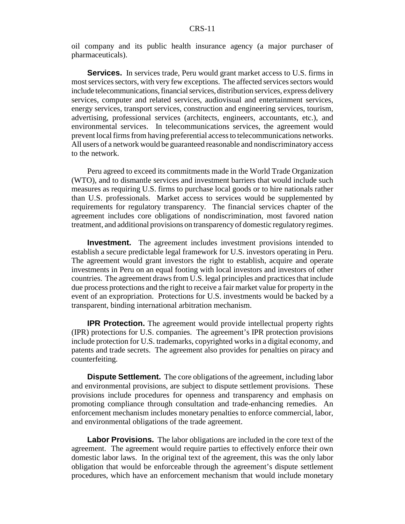oil company and its public health insurance agency (a major purchaser of pharmaceuticals).

**Services.** In services trade, Peru would grant market access to U.S. firms in most services sectors, with very few exceptions. The affected services sectors would include telecommunications, financial services, distribution services, express delivery services, computer and related services, audiovisual and entertainment services, energy services, transport services, construction and engineering services, tourism, advertising, professional services (architects, engineers, accountants, etc.), and environmental services. In telecommunications services, the agreement would prevent local firms from having preferential access to telecommunications networks. All users of a network would be guaranteed reasonable and nondiscriminatory access to the network.

Peru agreed to exceed its commitments made in the World Trade Organization (WTO), and to dismantle services and investment barriers that would include such measures as requiring U.S. firms to purchase local goods or to hire nationals rather than U.S. professionals. Market access to services would be supplemented by requirements for regulatory transparency. The financial services chapter of the agreement includes core obligations of nondiscrimination, most favored nation treatment, and additional provisions on transparency of domestic regulatory regimes.

**Investment.** The agreement includes investment provisions intended to establish a secure predictable legal framework for U.S. investors operating in Peru. The agreement would grant investors the right to establish, acquire and operate investments in Peru on an equal footing with local investors and investors of other countries. The agreement draws from U.S. legal principles and practices that include due process protections and the right to receive a fair market value for property in the event of an expropriation. Protections for U.S. investments would be backed by a transparent, binding international arbitration mechanism.

**IPR Protection.** The agreement would provide intellectual property rights (IPR) protections for U.S. companies. The agreement's IPR protection provisions include protection for U.S. trademarks, copyrighted works in a digital economy, and patents and trade secrets. The agreement also provides for penalties on piracy and counterfeiting.

**Dispute Settlement.** The core obligations of the agreement, including labor and environmental provisions, are subject to dispute settlement provisions. These provisions include procedures for openness and transparency and emphasis on promoting compliance through consultation and trade-enhancing remedies. An enforcement mechanism includes monetary penalties to enforce commercial, labor, and environmental obligations of the trade agreement.

**Labor Provisions.** The labor obligations are included in the core text of the agreement. The agreement would require parties to effectively enforce their own domestic labor laws. In the original text of the agreement, this was the only labor obligation that would be enforceable through the agreement's dispute settlement procedures, which have an enforcement mechanism that would include monetary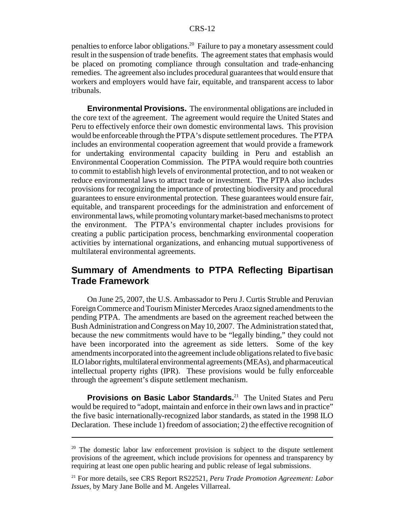penalties to enforce labor obligations.20 Failure to pay a monetary assessment could result in the suspension of trade benefits. The agreement states that emphasis would be placed on promoting compliance through consultation and trade-enhancing remedies. The agreement also includes procedural guarantees that would ensure that workers and employers would have fair, equitable, and transparent access to labor tribunals.

**Environmental Provisions.** The environmental obligations are included in the core text of the agreement. The agreement would require the United States and Peru to effectively enforce their own domestic environmental laws. This provision would be enforceable through the PTPA's dispute settlement procedures. The PTPA includes an environmental cooperation agreement that would provide a framework for undertaking environmental capacity building in Peru and establish an Environmental Cooperation Commission. The PTPA would require both countries to commit to establish high levels of environmental protection, and to not weaken or reduce environmental laws to attract trade or investment. The PTPA also includes provisions for recognizing the importance of protecting biodiversity and procedural guarantees to ensure environmental protection. These guarantees would ensure fair, equitable, and transparent proceedings for the administration and enforcement of environmental laws, while promoting voluntary market-based mechanisms to protect the environment. The PTPA's environmental chapter includes provisions for creating a public participation process, benchmarking environmental cooperation activities by international organizations, and enhancing mutual supportiveness of multilateral environmental agreements.

## **Summary of Amendments to PTPA Reflecting Bipartisan Trade Framework**

On June 25, 2007, the U.S. Ambassador to Peru J. Curtis Struble and Peruvian Foreign Commerce and Tourism Minister Mercedes Araoz signed amendments to the pending PTPA. The amendments are based on the agreement reached between the Bush Administration and Congress on May 10, 2007. The Administration stated that, because the new commitments would have to be "legally binding," they could not have been incorporated into the agreement as side letters. Some of the key amendments incorporated into the agreement include obligations related to five basic ILO labor rights, multilateral environmental agreements (MEAs), and pharmaceutical intellectual property rights (IPR). These provisions would be fully enforceable through the agreement's dispute settlement mechanism.

**Provisions on Basic Labor Standards.**<sup>21</sup> The United States and Peru would be required to "adopt, maintain and enforce in their own laws and in practice" the five basic internationally-recognized labor standards, as stated in the 1998 ILO Declaration. These include 1) freedom of association; 2) the effective recognition of

 $20$  The domestic labor law enforcement provision is subject to the dispute settlement provisions of the agreement, which include provisions for openness and transparency by requiring at least one open public hearing and public release of legal submissions.

<sup>21</sup> For more details, see CRS Report RS22521, *Peru Trade Promotion Agreement: Labor Issues,* by Mary Jane Bolle and M. Angeles Villarreal.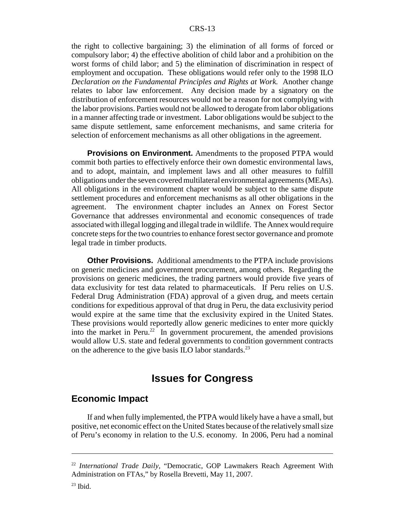the right to collective bargaining; 3) the elimination of all forms of forced or compulsory labor; 4) the effective abolition of child labor and a prohibition on the worst forms of child labor; and 5) the elimination of discrimination in respect of employment and occupation. These obligations would refer only to the 1998 ILO *Declaration on the Fundamental Principles and Rights at Work.* Another change relates to labor law enforcement. Any decision made by a signatory on the distribution of enforcement resources would not be a reason for not complying with the labor provisions. Parties would not be allowed to derogate from labor obligations in a manner affecting trade or investment. Labor obligations would be subject to the same dispute settlement, same enforcement mechanisms, and same criteria for selection of enforcement mechanisms as all other obligations in the agreement.

**Provisions on Environment.** Amendments to the proposed PTPA would commit both parties to effectively enforce their own domestic environmental laws, and to adopt, maintain, and implement laws and all other measures to fulfill obligations under the seven covered multilateral environmental agreements (MEAs). All obligations in the environment chapter would be subject to the same dispute settlement procedures and enforcement mechanisms as all other obligations in the agreement. The environment chapter includes an Annex on Forest Sector Governance that addresses environmental and economic consequences of trade associated with illegal logging and illegal trade in wildlife. The Annex would require concrete steps for the two countries to enhance forest sector governance and promote legal trade in timber products.

**Other Provisions.** Additional amendments to the PTPA include provisions on generic medicines and government procurement, among others. Regarding the provisions on generic medicines, the trading partners would provide five years of data exclusivity for test data related to pharmaceuticals. If Peru relies on U.S. Federal Drug Administration (FDA) approval of a given drug, and meets certain conditions for expeditious approval of that drug in Peru, the data exclusivity period would expire at the same time that the exclusivity expired in the United States. These provisions would reportedly allow generic medicines to enter more quickly into the market in Peru.<sup>22</sup> In government procurement, the amended provisions would allow U.S. state and federal governments to condition government contracts on the adherence to the give basis ILO labor standards.<sup>23</sup>

# **Issues for Congress**

#### **Economic Impact**

If and when fully implemented, the PTPA would likely have a have a small, but positive, net economic effect on the United States because of the relatively small size of Peru's economy in relation to the U.S. economy. In 2006, Peru had a nominal

<sup>22</sup> *International Trade Daily,* "Democratic, GOP Lawmakers Reach Agreement With Administration on FTAs," by Rosella Brevetti, May 11, 2007.

 $23$  Ibid.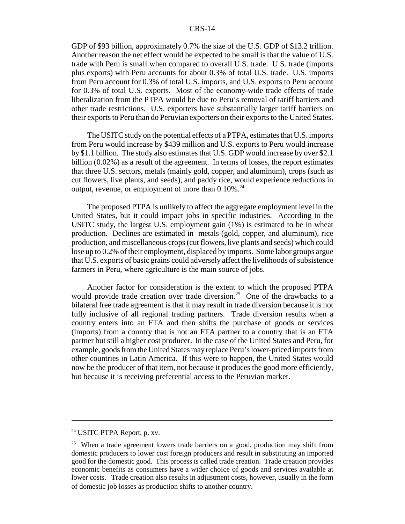#### CRS-14

GDP of \$93 billion, approximately 0.7% the size of the U.S. GDP of \$13.2 trillion. Another reason the net effect would be expected to be small is that the value of U.S. trade with Peru is small when compared to overall U.S. trade. U.S. trade (imports plus exports) with Peru accounts for about 0.3% of total U.S. trade. U.S. imports from Peru account for 0.3% of total U.S. imports, and U.S. exports to Peru account for 0.3% of total U.S. exports. Most of the economy-wide trade effects of trade liberalization from the PTPA would be due to Peru's removal of tariff barriers and other trade restrictions. U.S. exporters have substantially larger tariff barriers on their exports to Peru than do Peruvian exporters on their exports to the United States.

The USITC study on the potential effects of a PTPA, estimates that U.S. imports from Peru would increase by \$439 million and U.S. exports to Peru would increase by \$1.1 billion. The study also estimates that U.S. GDP would increase by over \$2.1 billion (0.02%) as a result of the agreement. In terms of losses, the report estimates that three U.S. sectors, metals (mainly gold, copper, and aluminum), crops (such as cut flowers, live plants, and seeds), and paddy rice, would experience reductions in output, revenue, or employment of more than  $0.10\%$ <sup>24</sup>

The proposed PTPA is unlikely to affect the aggregate employment level in the United States, but it could impact jobs in specific industries. According to the USITC study, the largest U.S. employment gain (1%) is estimated to be in wheat production. Declines are estimated in metals (gold, copper, and aluminum), rice production, and miscellaneous crops (cut flowers, live plants and seeds) which could lose up to 0.2% of their employment, displaced by imports. Some labor groups argue that U.S. exports of basic grains could adversely affect the livelihoods of subsistence farmers in Peru, where agriculture is the main source of jobs.

Another factor for consideration is the extent to which the proposed PTPA would provide trade creation over trade diversion.<sup>25</sup> One of the drawbacks to a bilateral free trade agreement is that it may result in trade diversion because it is not fully inclusive of all regional trading partners. Trade diversion results when a country enters into an FTA and then shifts the purchase of goods or services (imports) from a country that is not an FTA partner to a country that is an FTA partner but still a higher cost producer. In the case of the United States and Peru, for example, goods from the United States may replace Peru's lower-priced imports from other countries in Latin America. If this were to happen, the United States would now be the producer of that item, not because it produces the good more efficiently, but because it is receiving preferential access to the Peruvian market.

<sup>24</sup> USITC PTPA Report, p. xv.

<sup>&</sup>lt;sup>25</sup> When a trade agreement lowers trade barriers on a good, production may shift from domestic producers to lower cost foreign producers and result in substituting an imported good for the domestic good. This process is called trade creation. Trade creation provides economic benefits as consumers have a wider choice of goods and services available at lower costs. Trade creation also results in adjustment costs, however, usually in the form of domestic job losses as production shifts to another country.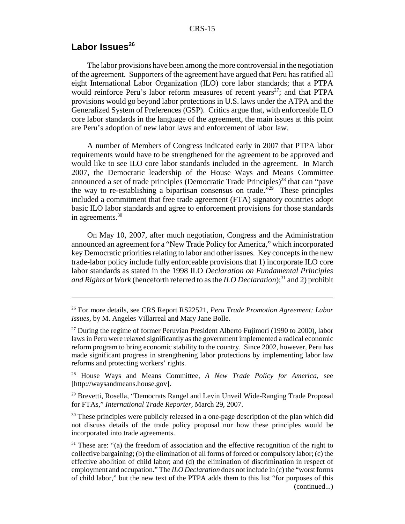# Labor Issues<sup>26</sup>

The labor provisions have been among the more controversial in the negotiation of the agreement. Supporters of the agreement have argued that Peru has ratified all eight International Labor Organization (ILO) core labor standards; that a PTPA would reinforce Peru's labor reform measures of recent years<sup>27</sup>; and that PTPA provisions would go beyond labor protections in U.S. laws under the ATPA and the Generalized System of Preferences (GSP). Critics argue that, with enforceable ILO core labor standards in the language of the agreement, the main issues at this point are Peru's adoption of new labor laws and enforcement of labor law.

A number of Members of Congress indicated early in 2007 that PTPA labor requirements would have to be strengthened for the agreement to be approved and would like to see ILO core labor standards included in the agreement. In March 2007, the Democratic leadership of the House Ways and Means Committee announced a set of trade principles (Democratic Trade Principles)<sup>28</sup> that can "pave the way to re-establishing a bipartisan consensus on trade."29 These principles included a commitment that free trade agreement (FTA) signatory countries adopt basic ILO labor standards and agree to enforcement provisions for those standards in agreements.<sup>30</sup>

On May 10, 2007, after much negotiation, Congress and the Administration announced an agreement for a "New Trade Policy for America," which incorporated key Democratic priorities relating to labor and other issues. Key concepts in the new trade-labor policy include fully enforceable provisions that 1) incorporate ILO core labor standards as stated in the 1998 ILO *Declaration on Fundamental Principles and Rights at Work* (henceforth referred to as the *ILO Declaration*);<sup>31</sup> and 2) prohibit

<sup>26</sup> For more details, see CRS Report RS22521, *Peru Trade Promotion Agreement: Labor Issues,* by M. Angeles Villarreal and Mary Jane Bolle.

<sup>&</sup>lt;sup>27</sup> During the regime of former Peruvian President Alberto Fujimori (1990 to 2000), labor laws in Peru were relaxed significantly as the government implemented a radical economic reform program to bring economic stability to the country. Since 2002, however, Peru has made significant progress in strengthening labor protections by implementing labor law reforms and protecting workers' rights.

<sup>28</sup> House Ways and Means Committee, *A New Trade Policy for America*, see [http://waysandmeans.house.gov].

<sup>&</sup>lt;sup>29</sup> Brevetti, Rosella, "Democrats Rangel and Levin Unveil Wide-Ranging Trade Proposal for FTAs," *International Trade Reporter,* March 29, 2007.

<sup>&</sup>lt;sup>30</sup> These principles were publicly released in a one-page description of the plan which did not discuss details of the trade policy proposal nor how these principles would be incorporated into trade agreements.

 $31$  These are: "(a) the freedom of association and the effective recognition of the right to collective bargaining; (b) the elimination of all forms of forced or compulsory labor; (c) the effective abolition of child labor; and (d) the elimination of discrimination in respect of employment and occupation." The *ILO Declaration* does not include in (c) the "worst forms of child labor," but the new text of the PTPA adds them to this list "for purposes of this (continued...)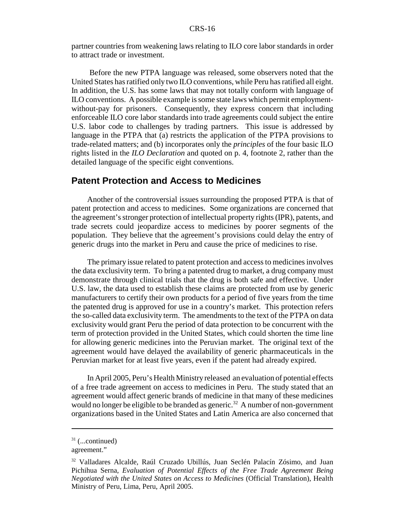partner countries from weakening laws relating to ILO core labor standards in order to attract trade or investment.

 Before the new PTPA language was released, some observers noted that the United States has ratified only two ILO conventions, while Peru has ratified all eight. In addition, the U.S. has some laws that may not totally conform with language of ILO conventions. A possible example is some state laws which permit employmentwithout-pay for prisoners. Consequently, they express concern that including enforceable ILO core labor standards into trade agreements could subject the entire U.S. labor code to challenges by trading partners. This issue is addressed by language in the PTPA that (a) restricts the application of the PTPA provisions to trade-related matters; and (b) incorporates only the *principles* of the four basic ILO rights listed in the *ILO Declaration* and quoted on p. 4, footnote 2, rather than the detailed language of the specific eight conventions.

#### **Patent Protection and Access to Medicines**

Another of the controversial issues surrounding the proposed PTPA is that of patent protection and access to medicines. Some organizations are concerned that the agreement's stronger protection of intellectual property rights (IPR), patents, and trade secrets could jeopardize access to medicines by poorer segments of the population. They believe that the agreement's provisions could delay the entry of generic drugs into the market in Peru and cause the price of medicines to rise.

The primary issue related to patent protection and access to medicines involves the data exclusivity term. To bring a patented drug to market, a drug company must demonstrate through clinical trials that the drug is both safe and effective. Under U.S. law, the data used to establish these claims are protected from use by generic manufacturers to certify their own products for a period of five years from the time the patented drug is approved for use in a country's market. This protection refers the so-called data exclusivity term. The amendments to the text of the PTPA on data exclusivity would grant Peru the period of data protection to be concurrent with the term of protection provided in the United States, which could shorten the time line for allowing generic medicines into the Peruvian market. The original text of the agreement would have delayed the availability of generic pharmaceuticals in the Peruvian market for at least five years, even if the patent had already expired.

In April 2005, Peru's Health Ministry released an evaluation of potential effects of a free trade agreement on access to medicines in Peru. The study stated that an agreement would affect generic brands of medicine in that many of these medicines would no longer be eligible to be branded as generic.<sup>32</sup> A number of non-government organizations based in the United States and Latin America are also concerned that

 $31$  (...continued)

agreement."

<sup>&</sup>lt;sup>32</sup> Valladares Alcalde, Raúl Cruzado Ubillús, Juan Seclén Palacín Zósimo, and Juan Pichihua Serna, *Evaluation of Potential Effects of the Free Trade Agreement Being Negotiated with the United States on Access to Medicines* (Official Translation), Health Ministry of Peru, Lima, Peru, April 2005.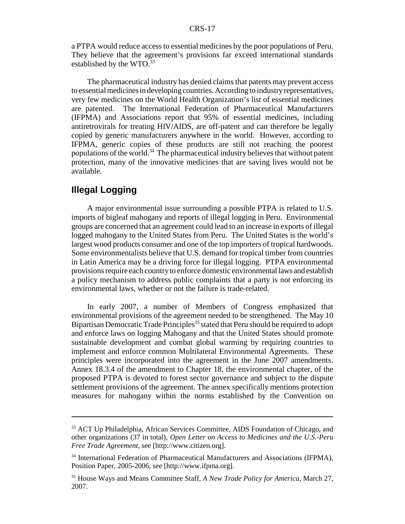a PTPA would reduce access to essential medicines by the poor populations of Peru. They believe that the agreement's provisions far exceed international standards established by the WTO.<sup>33</sup>

The pharmaceutical industry has denied claims that patents may prevent access to essential medicines in developing countries. According to industry representatives, very few medicines on the World Health Organization's list of essential medicines are patented. The International Federation of Pharmaceutical Manufacturers (IFPMA) and Associations report that 95% of essential medicines, including antiretrovirals for treating HIV/AIDS, are off-patent and can therefore be legally copied by generic manufacturers anywhere in the world. However, according to IFPMA, generic copies of these products are still not reaching the poorest populations of the world.34 The pharmaceutical industry believes that without patent protection, many of the innovative medicines that are saving lives would not be available.

# **Illegal Logging**

A major environmental issue surrounding a possible PTPA is related to U.S. imports of bigleaf mahogany and reports of illegal logging in Peru. Environmental groups are concerned that an agreement could lead to an increase in exports of illegal logged mahogany to the United States from Peru. The United States is the world's largest wood products consumer and one of the top importers of tropical hardwoods. Some environmentalists believe that U.S. demand for tropical timber from countries in Latin America may be a driving force for illegal logging. PTPA environmental provisions require each country to enforce domestic environmental laws and establish a policy mechanism to address public complaints that a party is not enforcing its environmental laws, whether or not the failure is trade-related.

In early 2007, a number of Members of Congress emphasized that environmental provisions of the agreement needed to be strengthened. The May 10 Bipartisan Democratic Trade Principles<sup>35</sup> stated that Peru should be required to adopt and enforce laws on logging Mahogany and that the United States should promote sustainable development and combat global warming by requiring countries to implement and enforce common Multilateral Environmental Agreements. These principles were incorporated into the agreement in the June 2007 amendments. Annex 18.3.4 of the amendment to Chapter 18, the environmental chapter, of the proposed PTPA is devoted to forest sector governance and subject to the dispute settlement provisions of the agreement. The annex specifically mentions protection measures for mahogany within the norms established by the Convention on

<sup>&</sup>lt;sup>33</sup> ACT Up Philadelphia, African Services Committee, AIDS Foundation of Chicago, and other organizations (37 in total), *Open Letter on Access to Medicines and the U.S.-Peru Free Trade Agreement,* see [http://www.citizen.org].

<sup>34</sup> International Federation of Pharmaceutical Manufacturers and Associations (IFPMA), Position Paper, 2005-2006, see [http://www.ifpma.org].

<sup>35</sup> House Ways and Means Committee Staff, *A New Trade Policy for America,* March 27, 2007.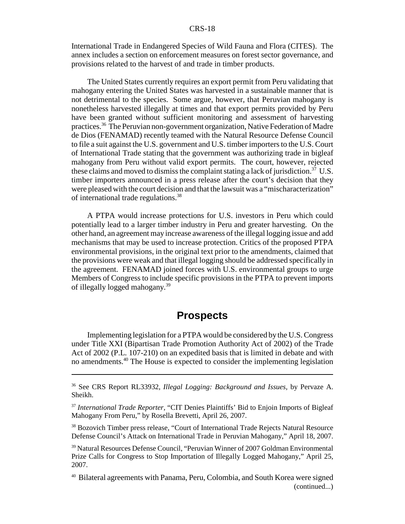#### CRS-18

International Trade in Endangered Species of Wild Fauna and Flora (CITES). The annex includes a section on enforcement measures on forest sector governance, and provisions related to the harvest of and trade in timber products.

The United States currently requires an export permit from Peru validating that mahogany entering the United States was harvested in a sustainable manner that is not detrimental to the species. Some argue, however, that Peruvian mahogany is nonetheless harvested illegally at times and that export permits provided by Peru have been granted without sufficient monitoring and assessment of harvesting practices.36 The Peruvian non-government organization, Native Federation of Madre de Dios (FENAMAD) recently teamed with the Natural Resource Defense Council to file a suit against the U.S. government and U.S. timber importers to the U.S. Court of International Trade stating that the government was authorizing trade in bigleaf mahogany from Peru without valid export permits. The court, however, rejected these claims and moved to dismiss the complaint stating a lack of jurisdiction.<sup>37</sup> U.S. timber importers announced in a press release after the court's decision that they were pleased with the court decision and that the lawsuit was a "mischaracterization" of international trade regulations.38

A PTPA would increase protections for U.S. investors in Peru which could potentially lead to a larger timber industry in Peru and greater harvesting. On the other hand, an agreement may increase awareness of the illegal logging issue and add mechanisms that may be used to increase protection. Critics of the proposed PTPA environmental provisions, in the original text prior to the amendments, claimed that the provisions were weak and that illegal logging should be addressed specifically in the agreement. FENAMAD joined forces with U.S. environmental groups to urge Members of Congress to include specific provisions in the PTPA to prevent imports of illegally logged mahogany.39

# **Prospects**

Implementing legislation for a PTPA would be considered by the U.S. Congress under Title XXI (Bipartisan Trade Promotion Authority Act of 2002) of the Trade Act of 2002 (P.L. 107-210) on an expedited basis that is limited in debate and with no amendments.40 The House is expected to consider the implementing legislation

<sup>36</sup> See CRS Report RL33932, *Illegal Logging: Background and Issues,* by Pervaze A. Sheikh.

<sup>37</sup> *International Trade Reporter,* "CIT Denies Plaintiffs' Bid to Enjoin Imports of Bigleaf Mahogany From Peru," by Rosella Brevetti, April 26, 2007.

<sup>&</sup>lt;sup>38</sup> Bozovich Timber press release, "Court of International Trade Rejects Natural Resource Defense Council's Attack on International Trade in Peruvian Mahogany," April 18, 2007.

<sup>39</sup> Natural Resources Defense Council, "Peruvian Winner of 2007 Goldman Environmental Prize Calls for Congress to Stop Importation of Illegally Logged Mahogany," April 25, 2007.

<sup>40</sup> Bilateral agreements with Panama, Peru, Colombia, and South Korea were signed (continued...)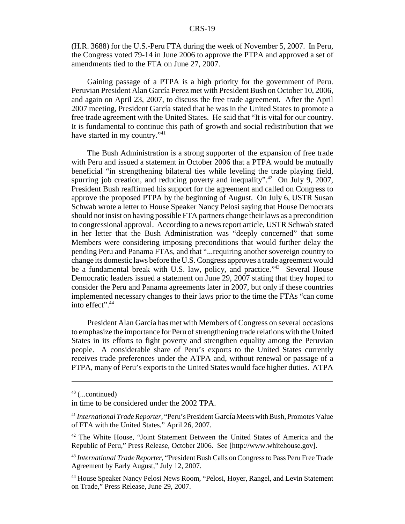(H.R. 3688) for the U.S.-Peru FTA during the week of November 5, 2007. In Peru, the Congress voted 79-14 in June 2006 to approve the PTPA and approved a set of amendments tied to the FTA on June 27, 2007.

Gaining passage of a PTPA is a high priority for the government of Peru. Peruvian President Alan García Perez met with President Bush on October 10, 2006, and again on April 23, 2007, to discuss the free trade agreement. After the April 2007 meeting, President García stated that he was in the United States to promote a free trade agreement with the United States. He said that "It is vital for our country. It is fundamental to continue this path of growth and social redistribution that we have started in my country."<sup>41</sup>

The Bush Administration is a strong supporter of the expansion of free trade with Peru and issued a statement in October 2006 that a PTPA would be mutually beneficial "in strengthening bilateral ties while leveling the trade playing field, spurring job creation, and reducing poverty and inequality".<sup>42</sup> On July 9, 2007, President Bush reaffirmed his support for the agreement and called on Congress to approve the proposed PTPA by the beginning of August. On July 6, USTR Susan Schwab wrote a letter to House Speaker Nancy Pelosi saying that House Democrats should not insist on having possible FTA partners change their laws as a precondition to congressional approval. According to a news report article, USTR Schwab stated in her letter that the Bush Administration was "deeply concerned" that some Members were considering imposing preconditions that would further delay the pending Peru and Panama FTAs, and that "...requiring another sovereign country to change its domestic laws before the U.S. Congress approves a trade agreement would be a fundamental break with U.S. law, policy, and practice."<sup>43</sup> Several House Democratic leaders issued a statement on June 29, 2007 stating that they hoped to consider the Peru and Panama agreements later in 2007, but only if these countries implemented necessary changes to their laws prior to the time the FTAs "can come into effect".<sup>44</sup>

President Alan García has met with Members of Congress on several occasions to emphasize the importance for Peru of strengthening trade relations with the United States in its efforts to fight poverty and strengthen equality among the Peruvian people. A considerable share of Peru's exports to the United States currently receives trade preferences under the ATPA and, without renewal or passage of a PTPA, many of Peru's exports to the United States would face higher duties. ATPA

 $40$  (...continued)

in time to be considered under the 2002 TPA.

<sup>41</sup> *International Trade Reporter,* "Peru's President García Meets with Bush, Promotes Value of FTA with the United States," April 26, 2007.

<sup>42</sup> The White House, "Joint Statement Between the United States of America and the Republic of Peru," Press Release, October 2006. See [http://www.whitehouse.gov].

<sup>43</sup> *International Trade Reporter,* "President Bush Calls on Congress to Pass Peru Free Trade Agreement by Early August," July 12, 2007.

<sup>44</sup> House Speaker Nancy Pelosi News Room, "Pelosi, Hoyer, Rangel, and Levin Statement on Trade," Press Release, June 29, 2007.